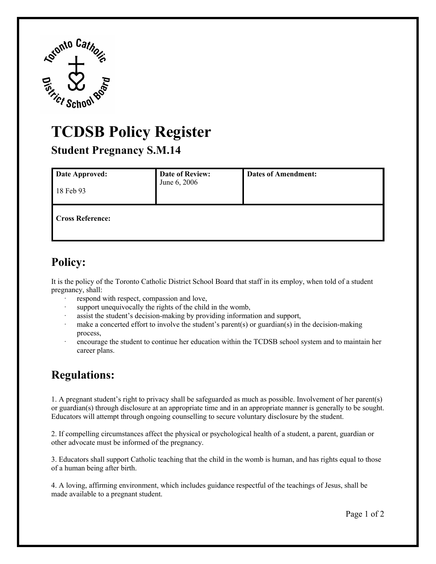

## **TCDSB Policy Register**

 **Student Pregnancy S.M.14** 

| Date Approved:<br>18 Feb 93 | <b>Date of Review:</b><br>June 6, 2006 | <b>Dates of Amendment:</b> |
|-----------------------------|----------------------------------------|----------------------------|
| <b>Cross Reference:</b>     |                                        |                            |

## **Policy:**

It is the policy of the Toronto Catholic District School Board that staff in its employ, when told of a student pregnancy, shall:

- respond with respect, compassion and love,
- · support unequivocally the rights of the child in the womb,
- assist the student's decision-making by providing information and support,
- make a concerted effort to involve the student's parent(s) or guardian(s) in the decision-making process,
- career plans. encourage the student to continue her education within the TCDSB school system and to maintain her

## **Regulations:**

 1. A pregnant student's right to privacy shall be safeguarded as much as possible. Involvement of her parent(s) Educators will attempt through ongoing counselling to secure voluntary disclosure by the student. or guardian(s) through disclosure at an appropriate time and in an appropriate manner is generally to be sought.

other advocate must be informed of the pregnancy. 2. If compelling circumstances affect the physical or psychological health of a student, a parent, guardian or

3. Educators shall support Catholic teaching that the child in the womb is human, and has rights equal to those of a human being after birth.

made available to a pregnant student. 4. A loving, affirming environment, which includes guidance respectful of the teachings of Jesus, shall be made available to a pregnant student.<br>Page 1 of 2